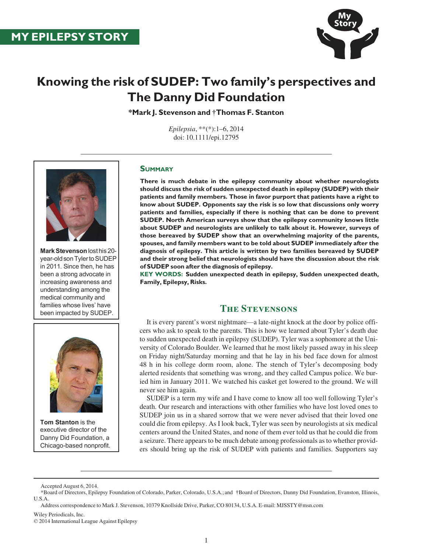

# Knowing the risk of SUDEP: Two family's perspectives and The Danny Did Foundation

\*Mark J. Stevenson and †Thomas F. Stanton

Epilepsia, \*\*(\*):1–6, 2014 doi: 10.1111/epi.12795



Mark Stevenson lost his 20year-old son Tyler to SUDEP in 2011. Since then, he has been a strong advocate in increasing awareness and understanding among the medical community and families whose lives' have been impacted by SUDEP.



Tom Stanton is the executive director of the Danny Did Foundation, a Chicago-based nonprofit.

#### **SUMMARY**

There is much debate in the epilepsy community about whether neurologists should discuss the risk of sudden unexpected death in epilepsy (SUDEP) with their patients and family members. Those in favor purport that patients have a right to know about SUDEP. Opponents say the risk is so low that discussions only worry patients and families, especially if there is nothing that can be done to prevent SUDEP. North American surveys show that the epilepsy community knows little about SUDEP and neurologists are unlikely to talk about it. However, surveys of those bereaved by SUDEP show that an overwhelming majority of the parents, spouses, and family members want to be told about SUDEP immediately after the diagnosis of epilepsy. This article is written by two families bereaved by SUDEP and their strong belief that neurologists should have the discussion about the risk of SUDEP soon after the diagnosis of epilepsy.

KEY WORDS: Sudden unexpected death in epilepsy, Sudden unexpected death, Family, Epilepsy, Risks.

## The Stevensons

It is every parent's worst nightmare—a late-night knock at the door by police officers who ask to speak to the parents. This is how we learned about Tyler's death due to sudden unexpected death in epilepsy (SUDEP). Tyler was a sophomore at the University of Colorado Boulder. We learned that he most likely passed away in his sleep on Friday night/Saturday morning and that he lay in his bed face down for almost 48 h in his college dorm room, alone. The stench of Tyler's decomposing body alerted residents that something was wrong, and they called Campus police. We buried him in January 2011. We watched his casket get lowered to the ground. We will never see him again.

SUDEP is a term my wife and I have come to know all too well following Tyler's death. Our research and interactions with other families who have lost loved ones to SUDEP join us in a shared sorrow that we were never advised that their loved one could die from epilepsy. As I look back, Tyler was seen by neurologists at six medical centers around the United States, and none of them ever told us that he could die from a seizure. There appears to be much debate among professionals as to whether providers should bring up the risk of SUDEP with patients and families. Supporters say

Address correspondence to Mark J. Stevenson, 10379 Knollside Drive, Parker, CO 80134, U.S.A. E-mail: MJSSTY@msn.com

Wiley Periodicals, Inc.

Accepted August 6, 2014.

<sup>\*</sup>Board of Directors, Epilepsy Foundation of Colorado, Parker, Colorado, U.S.A.;and †Board of Directors, Danny Did Foundation, Evanston, Illinois, U.S.A.

<sup>©</sup> 2014 International League Against Epilepsy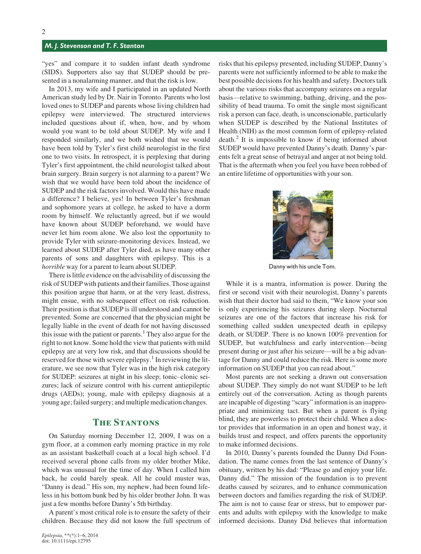#### M. J. Stevenson and T. F. Stanton

"yes" and compare it to sudden infant death syndrome (SIDS). Supporters also say that SUDEP should be presented in a nonalarming manner, and that the risk is low.

In 2013, my wife and I participated in an updated North American study led by Dr. Nair in Toronto. Parents who lost loved ones to SUDEP and parents whose living children had epilepsy were interviewed. The structured interviews included questions about if, when, how, and by whom would you want to be told about SUDEP. My wife and I responded similarly, and we both wished that we would have been told by Tyler's first child neurologist in the first one to two visits. In retrospect, it is perplexing that during Tyler's first appointment, the child neurologist talked about brain surgery. Brain surgery is not alarming to a parent? We wish that we would have been told about the incidence of SUDEP and the risk factors involved. Would this have made a difference? I believe, yes! In between Tyler's freshman and sophomore years at college, he asked to have a dorm room by himself. We reluctantly agreed, but if we would have known about SUDEP beforehand, we would have never let him room alone. We also lost the opportunity to provide Tyler with seizure-monitoring devices. Instead, we learned about SUDEP after Tyler died, as have many other parents of sons and daughters with epilepsy. This is a horrible way for a parent to learn about SUDEP.

There is little evidence on the advisability of discussing the risk of SUDEP with patients and their families. Those against this position argue that harm, or at the very least, distress, might ensue, with no subsequent effect on risk reduction. Their position is that SUDEP is ill understood and cannot be prevented. Some are concerned that the physician might be legally liable in the event of death for not having discussed this issue with the patient or parents.<sup>1</sup> They also argue for the right to not know. Some hold the view that patients with mild epilepsy are at very low risk, and that discussions should be reserved for those with severe epilepsy.<sup>1</sup> In reviewing the literature, we see now that Tyler was in the high risk category for SUDEP: seizures at night in his sleep; tonic–clonic seizures; lack of seizure control with his current antiepileptic drugs (AEDs); young, male with epilepsy diagnosis at a young age; failed surgery; and multiple medication changes.

#### The Stantons

On Saturday morning December 12, 2009, I was on a gym floor, at a common early morning practice in my role as an assistant basketball coach at a local high school. I'd received several phone calls from my older brother Mike, which was unusual for the time of day. When I called him back, he could barely speak. All he could muster was, "Danny is dead." His son, my nephew, had been found lifeless in his bottom bunk bed by his older brother John. It was just a few months before Danny's 5th birthday.

A parent's most critical role is to ensure the safety of their children. Because they did not know the full spectrum of risks that his epilepsy presented, including SUDEP, Danny's parents were not sufficiently informed to be able to make the best possible decisions for his health and safety. Doctors talk about the various risks that accompany seizures on a regular basis—relative to swimming, bathing, driving, and the possibility of head trauma. To omit the single most significant risk a person can face, death, is unconscionable, particularly when SUDEP is described by the National Institutes of Health (NIH) as the most common form of epilepsy-related  $death<sup>2</sup>$  It is impossible to know if being informed about SUDEP would have prevented Danny's death. Danny's parents felt a great sense of betrayal and anger at not being told. That is the aftermath when you feel you have been robbed of an entire lifetime of opportunities with your son.



Danny with his uncle Tom.

While it is a mantra, information is power. During the first or second visit with their neurologist, Danny's parents wish that their doctor had said to them, "We know your son is only experiencing his seizures during sleep. Nocturnal seizures are one of the factors that increase his risk for something called sudden unexpected death in epilepsy death, or SUDEP. There is no known 100% prevention for SUDEP, but watchfulness and early intervention—being present during or just after his seizure—will be a big advantage for Danny and could reduce the risk. Here is some more information on SUDEP that you can read about."

Most parents are not seeking a drawn out conversation about SUDEP. They simply do not want SUDEP to be left entirely out of the conversation. Acting as though parents are incapable of digesting "scary" information is an inappropriate and minimizing tact. But when a parent is flying blind, they are powerless to protect their child. When a doctor provides that information in an open and honest way, it builds trust and respect, and offers parents the opportunity to make informed decisions.

In 2010, Danny's parents founded the Danny Did Foundation. The name comes from the last sentence of Danny's obituary, written by his dad: "Please go and enjoy your life. Danny did." The mission of the foundation is to prevent deaths caused by seizures, and to enhance communication between doctors and families regarding the risk of SUDEP. The aim is not to cause fear or stress, but to empower parents and adults with epilepsy with the knowledge to make informed decisions. Danny Did believes that information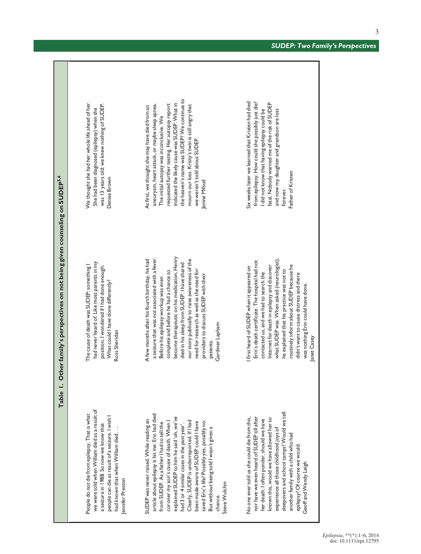we were told when William died as a result of we were told when William died as a result of People do not die from epilepsy. That is what People do not die from epilepsy. That is what people can die as result of a seizure. I wish I people can die as result of a seizure. I wish I a seizure in 1988. So now we know that a seizure in 1988. So now we know that had known that when William died.... had known that when William died.... ennifer Preston Jennifer Preston

article about epilepsy it hit me: Eric had died article about epilepsy it hit me: Eric had died explained SUDEP to him he said 'oh, we've explained SUDEP to him he said 'oh, we've SUDEP was never raised. While reading an coroner my son's cause of death. When I saved Eric's life? Possibly yes, possibly no. SUDEP was never raised. While reading an Clearly, SUDEP is underreported. If I had from SUDEP. As a father I had to tell the Clearly, SUDEP is underreported. If I had been made aware of SUDEP could I have saved Eric's life? Possibly yes, possibly no. coroner my son's cause of death. When I from SUDEP. As a father I had to tell the had 3 or 4 similar cases in the past year'. been made aware of SUDEP could I have had 3 or 4 similar cases in the past year'. But without being told I wasn't given a But without being told I wasn't given a Steve Wulchin Steve Wulchin chance.

sleepovers and school camps? Would we tell sleepovers and school camps? Would we tell No one ever told us she could die from this, nor have we even heard of SUDEP till after known this, would we have allowed her to No one ever told us she could die from this, nor have we even heard of SUDEP till after her death. I often ponder, should we have known this, would we have allowed her to her death. I often ponder, should we have experience all those childhood joys of experience all those childhood joys of another family with a child who had another family with a child who had epilepsy? Of course we would. epilepsy? Of course we would. Geoff and Wendy Leigh Geoff and Wendy Leigh

had never heard of. Like most parents in my had never heard of. Like most parents in my The cause of death was SUDEP: something I The cause of death was SUDEP; something I position, I wondered if I had done enough. position, I wondered if I had done enough. What could I have done differently? What could I have done differently? Ross Sheridan Ross Sheridan

become therapeutic on his medication, Henry become therapeutic on his medication, Henry A few months after his fourth birthday, he had a seizure that was not associated with a fever a seizure that was not associated with a fever. our story publically to raise awareness of the our story publically to raise awareness of the A few months after his fourth birthday, he had died in his sleep from SUDEP. I have shared died in his sleep from SUDEP. I have shared need for research as well as the need for complete and before he had a chance to need for research as well as the need for complete and before he had a chance to providers to discuss SUDEP with their providers to discuss SUDEP with their Before his epilepsy workup was even Before his epilepsy workup was even Gardiner Lapham Gardiner Lapham patients.

what SUDEP was. When asked (neurologist), what SUDEP was. When asked (neurologist), Erin's death certificate. The hospital had not Erin's death certificate. The hospital had not first heard of SUDEP when it appeared on Internet for death in epilepsy and discover routinely inform about SUDEP because he Internet for death in epilepsy and discover routinely inform about SUDEP because he I first heard of SUDEP when it appeared on he explained that his practice was not to he explained that his practice was not to contacted us, and we had to search the didn't want to cause distress and there contacted us, and we had to search the didn't want to cause distress and there was nothing Erin could have done. was nothing Erin could have done. anet Casey Janet Casey

We thought she had her whole life ahead of her. We thought she had her whole life ahead of her. was 13 years old; we knew nothing of SUDEP. was 13 years old; we knew nothing of SUDEP. She had been diagnosed (epilepsy) when she She had been diagnosed (epilepsy) when she Denise Brown Denise Brown

the heaven's name was SUDEP? We continue to the heaven's name was SUDEP? We continue to aneurysm, heart attack, or maybe sleep apnea. requested further testing. Her autopsy report indicated the likely cause was SUDEP. What in mourn our loss. Kristy's twin is still angry that indicated the likely cause was SUDEP. What in At first, we thought she may have died from an aneurysm, heart attack, or maybe sleep apnea. requested further testing. Her autopsy report mourn our loss. Kristy's twin is still angry that At first, we thought she may have died from an The initial autopsy was inconclusive. We The initial autopsy was inconclusive. We we weren't told about SUDEP. we weren't told about SUDEP. anine Mifsud Janine Mifsud

Six weeks later we learned that Kristen had died from epilepsy. How could she possibly just die? Six weeks later we learned that Kristen had died from epilepsy. How could she possibly just die? fatal. Nobody warned me of the risk of SUDEP fatal. Nobody warned me of the risk of SUDEP and now my daughter and grandson are lost I did not know that having epilepsy could be and now my daughter and grandson are lost I did not know that having epilepsy could be Father of Kristen Father of Kristen forever.

3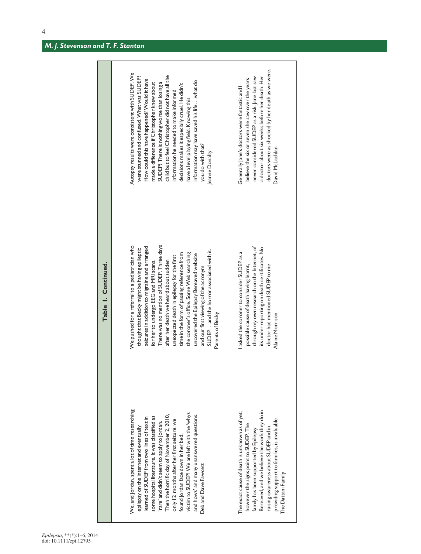Table 1. Continued. Table 1. Continued.

> We, and Jordan, spent a lot of time researching We, and Jordan, spent a lot of time researching victim to SUDEP! We are left with the 'whys victim to SUDEP! We are left with the 'whys and hows' and many unanswered questions. Then the horrific day of November 2, 2010, and hows' and many unanswered questions. learned of SUDEP from two lines of text in some hospital literature. It was classified as Then the horrific day of November 2, 2010, learned of SUDEP from two lines of text in some hospital literature. It was classified as only 12 months after her first seizure, we only 12 months after her first seizure, we 'rare' and didn't seem to apply to Jordan. 'rare' and didn't seem to apply to Jordan. epilepsy on the internet and eventually epilepsy on the internet and eventually found Jordan face down in her bed, found Jordan face down in her bed, Deb and Dave Fawcett Deb and Dave Fawcett

Bereaved, and we believe the work they do in The exact cause of death is unknown as of yet; Bereaved, and we believe the work they do in The exact cause of death is unknown as of yet; providing support to families, is invaluable. providing support to families, is invaluable. however the signs point to SUDEP. The however the signs point to SUDEP. The raising awareness about SUDEP and in family has been supported by Epilepsy raising awareness about SUDEP and in family has been supported by Epilepsy The Dattani Family The Dattani Family

We pushed for a referral to a pediatrician who There was no mention of SUDEP. Three days We pushed for a referral to a pediatrician who seizures in addition to migraine and arranged There was no mention of SUDEP. Three days thought that Becky might be having epileptic seizures in addition to migraine and arranged thought that Becky might be having epileptic SUDEP. . . and the horror associated with it. SUDEP...and the horror associated with it. the coroner's office. Some Web searching uncovered the Epilepsy Bereaved website time in the form of passing reference from time in the form of passing reference from the coroner's office. Some Web searching unexpected death in epilepsy for the first uncovered the Epilepsy Bereaved website unexpected death in epilepsy for the first for her to undergo EEG and MRI scans. after her death we heard about sudden for her to undergo EEG and MRI scans. after her death we heard about sudden and our first viewing of the acronym and our first viewing of the acronym Parents of Becky Parents of Becky

through my own research on the Internet, of through my own research on the Internet, of its under reporting on death certificates. No its under reporting on death certificates. No asked the coroner to consider SUDEP as a I asked the coroner to consider SUDEP as a possible cause of death having learnt, doctor had mentioned SUDEP to me. doctor had mentioned SUDEP to me. possible cause of death having learnt, Alaine Morrison Alaine Morrison

Autopsy results were consistent with SUDEP. We Autopsy results were consistent with SUDEP. We were stunned and confused. What was SUDEP? child but to feel Christopher did not have all the child but to feel Christopher did not have all the were stunned and confused. What was SUDEP? How could this have happened? Would it have information may have saved his life... what do How could this have happened? Would it have SUDEP? There is nothing worse than losing a made a difference if Christopher knew about information may have saved his life...what do made a difference if Christopher knew about SUDEP? There is nothing worse than losing a decisions makes it especially cruel. He didn't decisions makes it especially cruel. He didn't information he needed to make informed information he needed to make informed have a level playing field. Knowing this have a level playing field. Knowing this you do with that? you do with that? eanne Donalty Jeanne Donalty

doctors were as shocked by her death as we were. doctors were as shocked by her death as we were. a doctor about six weeks before her death. Her never considered SUDEP as a risk. Jane last saw a doctor about six weeks before her death. Her believe the six or seven she saw over the years never considered SUDEP as a risk. Jane last saw believe the six or seven she saw over the years Generally Jane's doctors were fantastic and I Generally Jane's doctors were fantastic and David McLachlan David McLachlan

4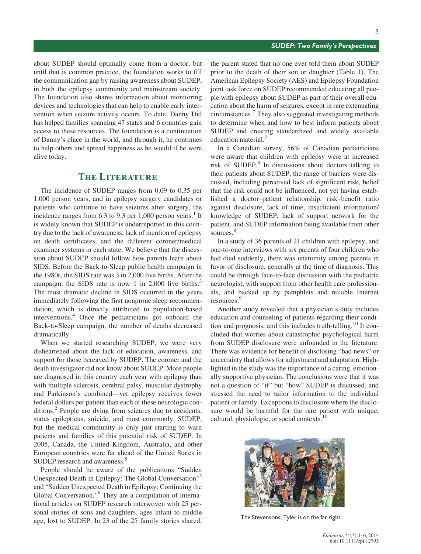about SUDEP should optimally come from a doctor, but until that is common practice, the foundation works to fill the communication gap by raising awareness about SUDEP, in both the epilepsy community and mainstream society. The foundation also shares information about monitoring devices and technologies that can help to enable early intervention when seizure activity occurs. To date, Danny Did has helped families spanning 47 states and 6 countries gain access to these resources. The foundation is a continuation of Danny's place in the world, and through it, he continues to help others and spread happiness as he would if he were alive today.

## THE LITERATURE

The incidence of SUDEP ranges from 0.09 to 0.35 per 1,000 person years, and in epilepsy surgery candidates or patients who continue to have seizures after surgery, the incidence ranges from 6.3 to 9.3 per  $1,000$  person years.<sup>1</sup> It is widely known that SUDEP is underreported in this country due to the lack of awareness, lack of mention of epilepsy on death certificates, and the different coroner/medical examiner systems in each state. We believe that the discussion about SUDEP should follow how parents learn about SIDS. Before the Back-to-Sleep public health campaign in the 1980s, the SIDS rate was 3 in 2,000 live births. After the campaign, the SIDS rate is now 1 in 2,000 live births. $3$ The most dramatic decline in SIDS occurred in the years immediately following the first nonprone sleep recommendation, which is directly attributed to population-based interventions.<sup>4</sup> Once the pediatricians got onboard the Back-to-Sleep campaign, the number of deaths decreased dramatically.

When we started researching SUDEP, we were very disheartened about the lack of education, awareness, and support for those bereaved by SUDEP. The coroner and the death investigator did not know about SUDEP. More people are diagnosed in this country each year with epilepsy than with multiple sclerosis, cerebral palsy, muscular dystrophy and Parkinson's combined—yet epilepsy receives fewer federal dollars per patient than each of these neurologic conditions.<sup>2</sup> People are dying from seizures due to accidents, status epilepticus, suicide, and most commonly, SUDEP, but the medical community is only just starting to warn patients and families of this potential risk of SUDEP. In 2005, Canada, the United Kingdom, Australia, and other European countries were far ahead of the United States in SUDEP research and awareness.<sup>5</sup>

People should be aware of the publications "Sudden Unexpected Death in Epilepsy: The Global Conversation"<sup>5</sup> and "Sudden Unexpected Death in Epilepsy: Continuing the Global Conversation." <sup>6</sup> They are a compilation of international articles on SUDEP research interwoven with 25 personal stories of sons and daughters, ages infant to middle age, lost to SUDEP. In 23 of the 25 family stories shared,

the parent stated that no one ever told them about SUDEP prior to the death of their son or daughter (Table 1). The American Epilepsy Society (AES) and Epilepsy Foundation joint task force on SUDEP recommended educating all people with epilepsy about SUDEP as part of their overall education about the harm of seizures, except in rare extenuating circumstances.<sup>7</sup> They also suggested investigating methods to determine when and how to best inform patients about SUDEP and creating standardized and widely available education material.<sup>7</sup>

In a Canadian survey, 56% of Canadian pediatricians were aware that children with epilepsy were at increased risk of SUDEP.<sup>8</sup> In discussions about doctors talking to their patients about SUDEP, the range of barriers were discussed, including perceived lack of significant risk, belief that the risk could not be influenced, not yet having established a doctor–patient relationship, risk–benefit ratio against disclosure, lack of time, insufficient information/ knowledge of SUDEP, lack of support network for the patient, and SUDEP information being available from other sources.<sup>8</sup>

In a study of 36 parents of 21 children with epilepsy, and one-to-one interviews with six parents of four children who had died suddenly, there was unanimity among parents in favor of disclosure, generally at the time of diagnosis. This could be through face-to-face discussion with the pediatric neurologist, with support from other health care professionals, and backed up by pamphlets and reliable Internet resources.<sup>9</sup>

Another study revealed that a physician's duty includes education and counseling of patients regarding their condition and prognosis, and this includes truth-telling.<sup>10</sup> It concluded that worries about catastrophic psychological harm from SUDEP disclosure were unfounded in the literature. There was evidence for benefit of disclosing "bad news" or uncertainty that allows for adjustment and adaptation. Highlighted in the study was the importance of a caring, emotionally supportive physician. The conclusions were that it was not a question of "if" but "how" SUDEP is discussed, and stressed the need to tailor information to the individual patient or family. Exceptions to disclosure where the disclosure would be harmful for the rare patient with unique, cultural, physiologic, or social contexts.<sup>10</sup>



The Stevensons; Tyler is on the far right.